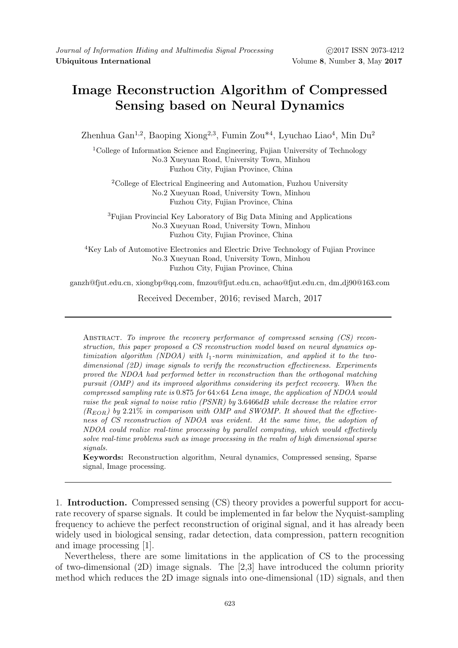## Image Reconstruction Algorithm of Compressed Sensing based on Neural Dynamics

Zhenhua Gan<sup>1,2</sup>, Baoping Xiong<sup>2,3</sup>, Fumin Zou<sup>\*4</sup>, Lyuchao Liao<sup>4</sup>, Min Du<sup>2</sup>

<sup>1</sup>College of Information Science and Engineering, Fujian University of Technology No.3 Xueyuan Road, University Town, Minhou Fuzhou City, Fujian Province, China

<sup>2</sup>College of Electrical Engineering and Automation, Fuzhou University No.2 Xueyuan Road, University Town, Minhou Fuzhou City, Fujian Province, China

<sup>3</sup>Fujian Provincial Key Laboratory of Big Data Mining and Applications No.3 Xueyuan Road, University Town, Minhou Fuzhou City, Fujian Province, China

<sup>4</sup>Key Lab of Automotive Electronics and Electric Drive Technology of Fujian Province No.3 Xueyuan Road, University Town, Minhou Fuzhou City, Fujian Province, China

ganzh@fjut.edu.cn, xiongbp@qq.com, fmzou@fjut.edu.cn, achao@fjut.edu.cn, dm dj90@163.com

Received December, 2016; revised March, 2017

Abstract. To improve the recovery performance of compressed sensing (CS) reconstruction, this paper proposed a CS reconstruction model based on neural dynamics optimization algorithm (NDOA) with  $l_1$ -norm minimization, and applied it to the twodimensional (2D) image signals to verify the reconstruction effectiveness. Experiments proved the NDOA had performed better in reconstruction than the orthogonal matching pursuit (OMP) and its improved algorithms considering its perfect recovery. When the compressed sampling rate is  $0.875$  for  $64\times64$  Lena image, the application of NDOA would raise the peak signal to noise ratio (PSNR) by 3.6466dB while decrease the relative error  $(R_{EOR})$  by 2.21% in comparison with OMP and SWOMP. It showed that the effectiveness of CS reconstruction of NDOA was evident. At the same time, the adoption of NDOA could realize real-time processing by parallel computing, which would effectively solve real-time problems such as image processing in the realm of high dimensional sparse signals.

Keywords: Reconstruction algorithm, Neural dynamics, Compressed sensing, Sparse signal, Image processing.

1. Introduction. Compressed sensing (CS) theory provides a powerful support for accurate recovery of sparse signals. It could be implemented in far below the Nyquist-sampling frequency to achieve the perfect reconstruction of original signal, and it has already been widely used in biological sensing, radar detection, data compression, pattern recognition and image processing [1].

Nevertheless, there are some limitations in the application of CS to the processing of two-dimensional (2D) image signals. The [2,3] have introduced the column priority method which reduces the 2D image signals into one-dimensional (1D) signals, and then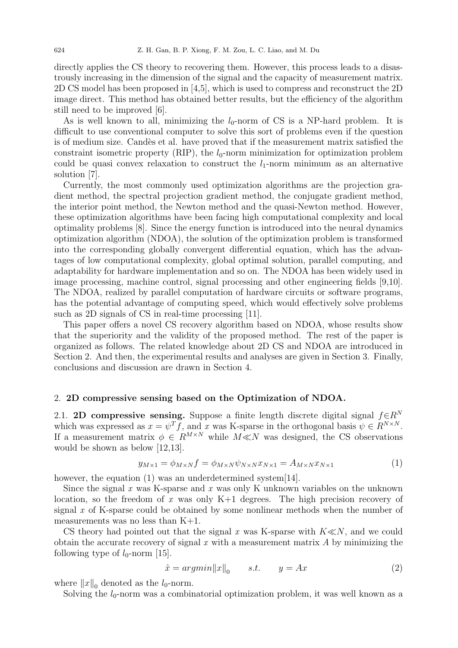directly applies the CS theory to recovering them. However, this process leads to a disastrously increasing in the dimension of the signal and the capacity of measurement matrix. 2D CS model has been proposed in [4,5], which is used to compress and reconstruct the 2D image direct. This method has obtained better results, but the efficiency of the algorithm still need to be improved [6].

As is well known to all, minimizing the  $l_0$ -norm of CS is a NP-hard problem. It is difficult to use conventional computer to solve this sort of problems even if the question is of medium size. Candes et al. have proved that if the measurement matrix satisfied the constraint isometric property  $(RIP)$ , the  $l_0$ -norm minimization for optimization problem could be quasi convex relaxation to construct the  $l_1$ -norm minimum as an alternative solution [7].

Currently, the most commonly used optimization algorithms are the projection gradient method, the spectral projection gradient method, the conjugate gradient method, the interior point method, the Newton method and the quasi-Newton method. However, these optimization algorithms have been facing high computational complexity and local optimality problems [8]. Since the energy function is introduced into the neural dynamics optimization algorithm (NDOA), the solution of the optimization problem is transformed into the corresponding globally convergent differential equation, which has the advantages of low computational complexity, global optimal solution, parallel computing, and adaptability for hardware implementation and so on. The NDOA has been widely used in image processing, machine control, signal processing and other engineering fields [9,10]. The NDOA, realized by parallel computation of hardware circuits or software programs, has the potential advantage of computing speed, which would effectively solve problems such as 2D signals of CS in real-time processing [11].

This paper offers a novel CS recovery algorithm based on NDOA, whose results show that the superiority and the validity of the proposed method. The rest of the paper is organized as follows. The related knowledge about 2D CS and NDOA are introduced in Section 2. And then, the experimental results and analyses are given in Section 3. Finally, conclusions and discussion are drawn in Section 4.

## 2. 2D compressive sensing based on the Optimization of NDOA.

2.1. 2D compressive sensing. Suppose a finite length discrete digital signal  $f \in R^N$ which was expressed as  $x = \psi^T f$ , and x was K-sparse in the orthogonal basis  $\psi \in R^{N \times N}$ . If a measurement matrix  $\phi \in R^{M \times N}$  while  $M \ll N$  was designed, the CS observations would be shown as below [12,13].

$$
y_{M\times 1} = \phi_{M\times N}f = \phi_{M\times N}\psi_{N\times N}x_{N\times 1} = A_{M\times N}x_{N\times 1}
$$
(1)

however, the equation (1) was an underdetermined system [14].

Since the signal  $x$  was K-sparse and  $x$  was only K unknown variables on the unknown location, so the freedom of x was only  $K+1$  degrees. The high precision recovery of signal x of K-sparse could be obtained by some nonlinear methods when the number of measurements was no less than K+1.

CS theory had pointed out that the signal x was K-sparse with  $K \ll N$ , and we could obtain the accurate recovery of signal  $x$  with a measurement matrix  $A$  by minimizing the following type of  $l_0$ -norm [15].

$$
\hat{x} = argmin ||x||_0 \qquad s.t. \qquad y = Ax \tag{2}
$$

where  $||x||_0$  denoted as the  $l_0$ -norm.

Solving the  $l_0$ -norm was a combinatorial optimization problem, it was well known as a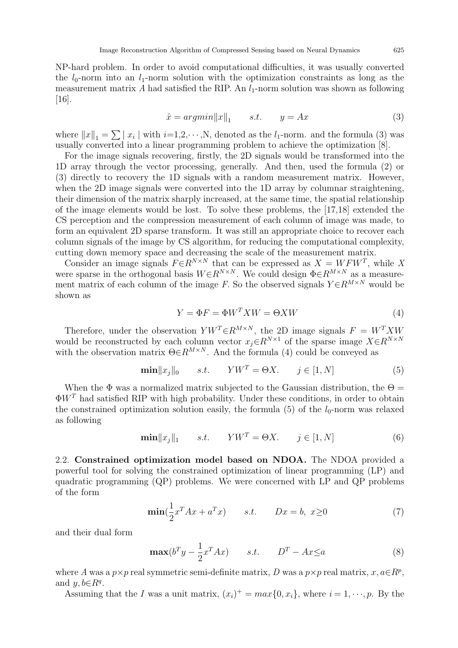NP-hard problem. In order to avoid computational difficulties, it was usually converted the  $l_0$ -norm into an  $l_1$ -norm solution with the optimization constraints as long as the measurement matrix A had satisfied the RIP. An  $l_1$ -norm solution was shown as following [16].

$$
\hat{x} = argmin ||x||_1 \qquad s.t. \qquad y = Ax \tag{3}
$$

where  $||x||_1 = \sum |x_i|$  with  $i=1,2,\dots,N$ , denoted as the  $l_1$ -norm. and the formula (3) was usually converted into a linear programming problem to achieve the optimization [8].

For the image signals recovering, firstly, the 2D signals would be transformed into the 1D array through the vector processing, generally. And then, used the formula (2) or (3) directly to recovery the 1D signals with a random measurement matrix. However, when the 2D image signals were converted into the 1D array by columnar straightening, their dimension of the matrix sharply increased, at the same time, the spatial relationship of the image elements would be lost. To solve these problems, the [17,18] extended the CS perception and the compression measurement of each column of image was made, to form an equivalent 2D sparse transform. It was still an appropriate choice to recover each column signals of the image by CS algorithm, for reducing the computational complexity, cutting down memory space and decreasing the scale of the measurement matrix.

Consider an image signals  $F \in R^{N \times N}$  that can be expressed as  $X = W F W^T$ , while X were sparse in the orthogonal basis  $W \in R^{N \times N}$ . We could design  $\Phi \in R^{M \times N}$  as a measurement matrix of each column of the image F. So the observed signals  $Y \in R^{M \times N}$  would be shown as

$$
Y = \Phi F = \Phi W^T X W = \Theta X W \tag{4}
$$

Therefore, under the observation  $YW^T \in R^{M \times N}$ , the 2D image signals  $F = W^T X W$ would be reconstructed by each column vector  $x_j \in R^{N \times 1}$  of the sparse image  $X \in R^{N \times N}$ with the observation matrix  $\Theta \in R^{M \times N}$ . And the formula (4) could be conveyed as

$$
\mathbf{min} \|x_j\|_0 \qquad s.t. \qquad YW^T = \Theta X. \qquad j \in [1, N] \tag{5}
$$

When the  $\Phi$  was a normalized matrix subjected to the Gaussian distribution, the  $\Theta =$  $\Phi W^T$  had satisfied RIP with high probability. Under these conditions, in order to obtain the constrained optimization solution easily, the formula (5) of the  $l_0$ -norm was relaxed as following

$$
\mathbf{min} \|x_j\|_1 \qquad s.t. \qquad YW^T = \Theta X. \qquad j \in [1, N] \tag{6}
$$

2.2. Constrained optimization model based on NDOA. The NDOA provided a powerful tool for solving the constrained optimization of linear programming (LP) and quadratic programming (QP) problems. We were concerned with LP and QP problems of the form

$$
\min(\frac{1}{2}x^T A x + a^T x) \qquad s.t. \qquad Dx = b, \ x \ge 0 \tag{7}
$$

and their dual form

$$
\mathbf{max}(b^T y - \frac{1}{2} x^T A x) \qquad s.t. \qquad D^T - A x \le a \tag{8}
$$

where A was a  $p \times p$  real symmetric semi-definite matrix, D was a  $p \times p$  real matrix,  $x, a \in R^p$ , and  $y, b \in R^q$ .

Assuming that the I was a unit matrix,  $(x_i)^+ = max\{0, x_i\}$ , where  $i = 1, \dots, p$ . By the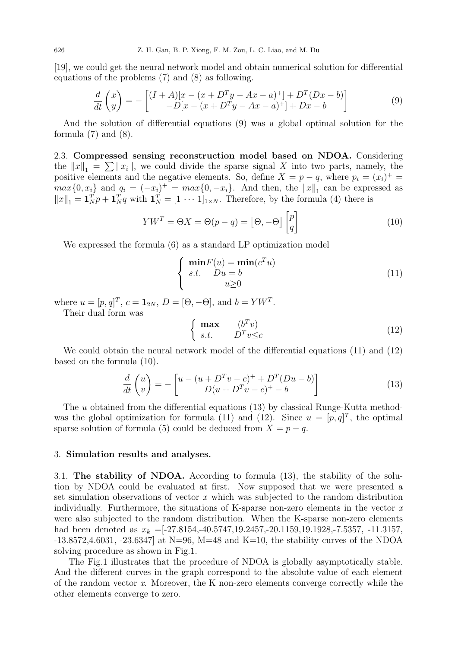[19], we could get the neural network model and obtain numerical solution for differential equations of the problems (7) and (8) as following.

$$
\frac{d}{dt}\begin{pmatrix} x \\ y \end{pmatrix} = -\begin{bmatrix} (I+A)[x - (x + D^T y - Ax - a)^+] + D^T (Dx - b) \\ -D[x - (x + D^T y - Ax - a)^+] + Dx - b \end{bmatrix}
$$
\n(9)

And the solution of differential equations (9) was a global optimal solution for the formula  $(7)$  and  $(8)$ .

2.3. Compressed sensing reconstruction model based on NDOA. Considering the  $||x||_1 = \sum |x_i|$ , we could divide the sparse signal X into two parts, namely, the positive elements and the negative elements. So, define  $X = p - q$ , where  $p_i = (x_i)^+$  $max{0, x_i}$  and  $q_i = (-x_i)^+ = max{0, -x_i}$ . And then, the  $||x||_1$  can be expressed as  $||x||_1 = \mathbf{1}_N^T p + \mathbf{1}_N^T q$  with  $\mathbf{1}_N^T = [1 \cdots 1]_{1 \times N}$ . Therefore, by the formula (4) there is

$$
YW^T = \Theta X = \Theta(p - q) = [\Theta, -\Theta] \begin{bmatrix} p \\ q \end{bmatrix}
$$
 (10)

We expressed the formula (6) as a standard LP optimization model

$$
\begin{cases}\n\min F(u) = \min (c^T u) \\
s.t. \quad Du = b \\
u \ge 0\n\end{cases}
$$
\n(11)

where  $u = [p, q]^T$ ,  $c = \mathbf{1}_{2N}$ ,  $D = [\Theta, -\Theta]$ , and  $b = YW^T$ .

Their dual form was

$$
\begin{cases} \max & (b^T v) \\ s.t. & D^T v \leq c \end{cases}
$$
 (12)

We could obtain the neural network model of the differential equations (11) and (12) based on the formula (10).

$$
\frac{d}{dt}\begin{pmatrix} u \\ v \end{pmatrix} = -\begin{bmatrix} u - (u + D^T v - c)^+ + D^T (Du - b) \\ D(u + D^T v - c)^+ - b \end{bmatrix}
$$
\n(13)

The u obtained from the differential equations (13) by classical Runge-Kutta methodwas the global optimization for formula (11) and (12). Since  $u = [p, q]^T$ , the optimal sparse solution of formula (5) could be deduced from  $X = p - q$ .

## 3. Simulation results and analyses.

3.1. The stability of NDOA. According to formula (13), the stability of the solution by NDOA could be evaluated at first. Now supposed that we were presented a set simulation observations of vector  $x$  which was subjected to the random distribution individually. Furthermore, the situations of K-sparse non-zero elements in the vector  $x$ were also subjected to the random distribution. When the K-sparse non-zero elements had been denoted as  $x_k = [-27.8154, -40.5747, 19.2457, -20.1159, 19.1928, -7.5357, -11.3157,$  $-13.8572, 4.6031, -23.6347$  at N=96, M=48 and K=10, the stability curves of the NDOA solving procedure as shown in Fig.1.

The Fig.1 illustrates that the procedure of NDOA is globally asymptotically stable. And the different curves in the graph correspond to the absolute value of each element of the random vector x. Moreover, the K non-zero elements converge correctly while the other elements converge to zero.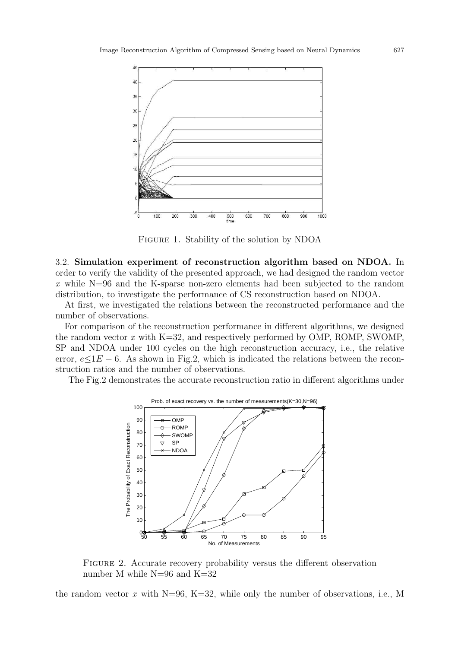

Figure 1. Stability of the solution by NDOA

3.2. Simulation experiment of reconstruction algorithm based on NDOA. In order to verify the validity of the presented approach, we had designed the random vector x while N=96 and the K-sparse non-zero elements had been subjected to the random distribution, to investigate the performance of CS reconstruction based on NDOA.

At first, we investigated the relations between the reconstructed performance and the number of observations.

For comparison of the reconstruction performance in different algorithms, we designed the random vector  $x$  with K=32, and respectively performed by OMP, ROMP, SWOMP, SP and NDOA under 100 cycles on the high reconstruction accuracy, i.e., the relative error,  $e\leq 1E-6$ . As shown in Fig.2, which is indicated the relations between the reconstruction ratios and the number of observations.

The Fig.2 demonstrates the accurate reconstruction ratio in different algorithms under



Figure 2. Accurate recovery probability versus the different observation number M while N=96 and K=32

the random vector x with  $N=96$ ,  $K=32$ , while only the number of observations, i.e., M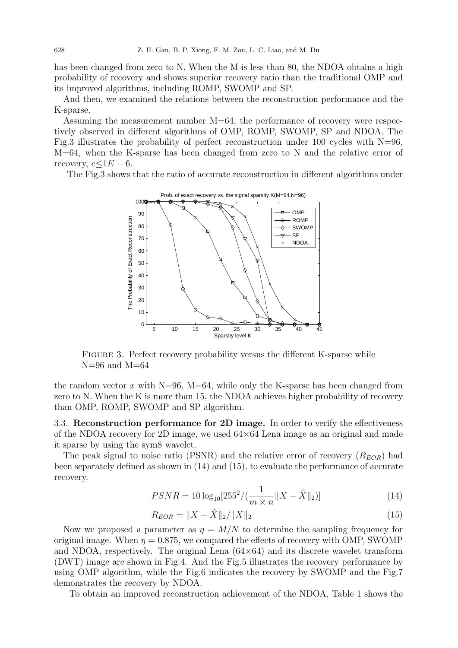has been changed from zero to N. When the M is less than 80, the NDOA obtains a high probability of recovery and shows superior recovery ratio than the traditional OMP and its improved algorithms, including ROMP, SWOMP and SP.

And then, we examined the relations between the reconstruction performance and the K-sparse.

Assuming the measurement number M=64, the performance of recovery were respectively observed in different algorithms of OMP, ROMP, SWOMP, SP and NDOA. The Fig.3 illustrates the probability of perfect reconstruction under 100 cycles with  $N=96$ ,  $M=64$ , when the K-sparse has been changed from zero to N and the relative error of recovery,  $e\leq 1E-6$ .

The Fig.3 shows that the ratio of accurate reconstruction in different algorithms under



FIGURE 3. Perfect recovery probability versus the different K-sparse while  $N=96$  and  $M=64$ 

the random vector x with  $N=96$ ,  $M=64$ , while only the K-sparse has been changed from zero to N. When the K is more than 15, the NDOA achieves higher probability of recovery than OMP, ROMP, SWOMP and SP algorithm.

3.3. Reconstruction performance for 2D image. In order to verify the effectiveness of the NDOA recovery for 2D image, we used  $64\times64$  Lena image as an original and made it sparse by using the sym8 wavelet.

The peak signal to noise ratio (PSNR) and the relative error of recovery  $(R_{EOR})$  had been separately defined as shown in (14) and (15), to evaluate the performance of accurate recovery.

$$
PSNR = 10\log_{10}[255^2/(\frac{1}{m \times n} ||X - \hat{X}||_2)]
$$
\n(14)

$$
R_{EOR} = \|X - \hat{X}\|_2 / \|X\|_2 \tag{15}
$$

Now we proposed a parameter as  $\eta = M/N$  to determine the sampling frequency for original image. When  $\eta = 0.875$ , we compared the effects of recovery with OMP, SWOMP and NDOA, respectively. The original Lena  $(64\times64)$  and its discrete wavelet transform (DWT) image are shown in Fig.4. And the Fig.5 illustrates the recovery performance by using OMP algorithm, while the Fig.6 indicates the recovery by SWOMP and the Fig.7 demonstrates the recovery by NDOA.

To obtain an improved reconstruction achievement of the NDOA, Table 1 shows the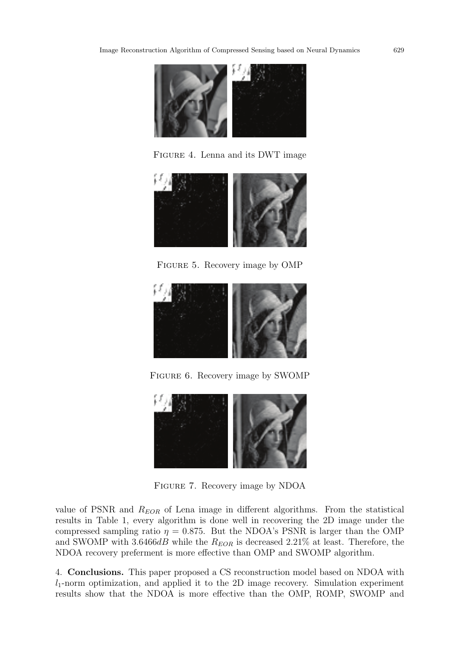

Figure 4. Lenna and its DWT image



FIGURE 5. Recovery image by OMP



Figure 6. Recovery image by SWOMP



Figure 7. Recovery image by NDOA

value of PSNR and  $R_{EOR}$  of Lena image in different algorithms. From the statistical results in Table 1, every algorithm is done well in recovering the 2D image under the compressed sampling ratio  $\eta = 0.875$ . But the NDOA's PSNR is larger than the OMP and SWOMP with 3.6466dB while the  $R_{EOR}$  is decreased 2.21% at least. Therefore, the NDOA recovery preferment is more effective than OMP and SWOMP algorithm.

4. Conclusions. This paper proposed a CS reconstruction model based on NDOA with  $l_1$ -norm optimization, and applied it to the 2D image recovery. Simulation experiment results show that the NDOA is more effective than the OMP, ROMP, SWOMP and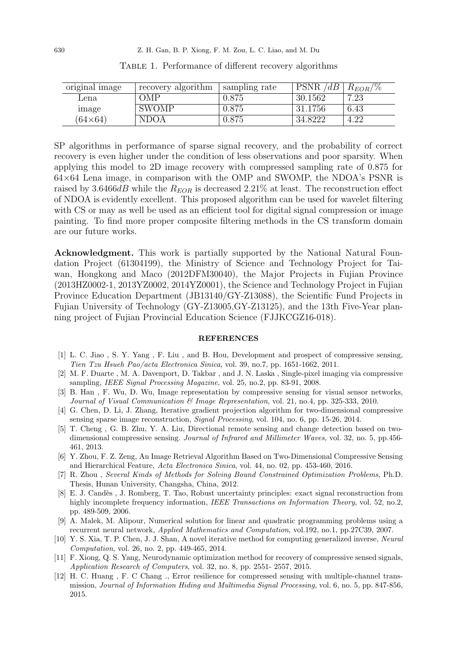| original image | <sup>t</sup> recovery algorithm | sampling rate | PSNR /<br>/dB | $R_{EOR}/\%$ |
|----------------|---------------------------------|---------------|---------------|--------------|
| Lena           | OMP                             | 0.875         | 30.1562       | 7.23         |
| image          | <b>SWOMP</b>                    | 0.875         | 31.1756       | 6.43         |
| $64\times64$   | <b>NDOA</b>                     | 0.875         | 34.8222       | 4.22         |

Table 1. Performance of different recovery algorithms

SP algorithms in performance of sparse signal recovery, and the probability of correct recovery is even higher under the condition of less observations and poor sparsity. When applying this model to 2D image recovery with compressed sampling rate of 0.875 for  $64\times64$  Lena image, in comparison with the OMP and SWOMP, the NDOA's PSNR is raised by 3.6466dB while the  $R_{EOR}$  is decreased 2.21% at least. The reconstruction effect of NDOA is evidently excellent. This proposed algorithm can be used for wavelet filtering with CS or may as well be used as an efficient tool for digital signal compression or image painting. To find more proper composite filtering methods in the CS transform domain are our future works.

Acknowledgment. This work is partially supported by the National Natural Foundation Project (61304199), the Ministry of Science and Technology Project for Taiwan, Hongkong and Maco (2012DFM30040), the Major Projects in Fujian Province (2013HZ0002-1, 2013YZ0002, 2014YZ0001), the Science and Technology Project in Fujian Province Education Department (JB13140/GY-Z13088), the Scientific Fund Projects in Fujian University of Technology (GY-Z13005,GY-Z13125), and the 13th Five-Year planning project of Fujian Provincial Education Science (FJJKCGZ16-018).

## REFERENCES

- [1] L. C. Jiao , S. Y. Yang , F. Liu , and B. Hou, Development and prospect of compressive sensing, Tien Tzu Hsueh Pao/acta Electronica Sinica, vol. 39, no.7, pp. 1651-1662, 2011.
- [2] M. F. Duarte , M. A. Davenport, D. Takbar , and J. N. Laska , Single-pixel imaging via compressive sampling, IEEE Signal Processing Magazine, vol. 25, no.2, pp. 83-91, 2008.
- [3] B. Han , F. Wu, D. Wu, Image representation by compressive sensing for visual sensor networks, Journal of Visual Communication & Image Representation, vol. 21, no.4, pp. 325-333, 2010.
- [4] G. Chen, D. Li, J. Zhang, Iterative gradient projection algorithm for two-dimensional compressive sensing sparse image reconstruction, Signal Processing, vol. 104, no. 6, pp. 15-26, 2014.
- [5] T. Cheng , G. B. Zhu, Y. A. Liu, Directional remote sensing and change detection based on twodimensional compressive sensing. Journal of Infrared and Millimeter Waves, vol. 32, no. 5, pp.456- 461, 2013.
- [6] Y. Zhou, F. Z. Zeng, An Image Retrieval Algorithm Based on Two-Dimensional Compressive Sensing and Hierarchical Feature, Acta Electronica Sinica, vol. 44, no. 02, pp. 453-460, 2016.
- [7] R. Zhou , Several Kinds of Methods for Solving Bound Constrained Optimization Problems, Ph.D. Thesis, Hunan University, Changsha, China, 2012.
- [8] E. J. Cand`es , J. Romberg, T. Tao, Robust uncertainty principles: exact signal reconstruction from highly incomplete frequency information, IEEE Transactions on Information Theory, vol. 52, no.2, pp. 489-509, 2006.
- [9] A. Malek, M. Alipour, Numerical solution for linear and quadratic programming problems using a recurrent neural network, Applied Mathematics and Computation, vol.192, no.1, pp.27C39, 2007.
- [10] Y. S. Xia, T. P. Chen, J. J. Shan, A novel iterative method for computing generalized inverse, Neural Computation, vol. 26, no. 2, pp. 449-465, 2014.
- [11] F. Xiong, Q. S. Yang, Neurodynamic optimization method for recovery of compressive sensed signals, Application Research of Computers, vol. 32, no. 8, pp. 2551- 2557, 2015.
- [12] H. C. Huang , F. C Chang ., Error resilience for compressed sensing with multiple-channel transmission, Journal of Information Hiding and Multimedia Signal Processing, vol. 6, no. 5, pp. 847-856, 2015.